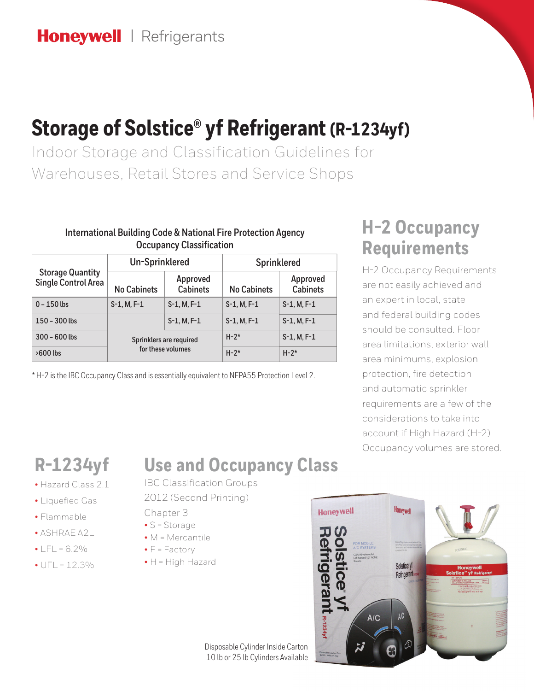# **Storage of Solstice® yf Refrigerant (R-1234yf)**

Indoor Storage and Classification Guidelines for Warehouses, Retail Stores and Service Shops

#### **International Building Code & National Fire Protection Agency Occupancy Classification**

| <b>Storage Quantity</b><br><b>Single Control Area</b> | <b>Un-Sprinklered</b>                        |                             | <b>Sprinklered</b> |                             |
|-------------------------------------------------------|----------------------------------------------|-----------------------------|--------------------|-----------------------------|
|                                                       | <b>No Cabinets</b>                           | Approved<br><b>Cabinets</b> | <b>No Cabinets</b> | Approved<br><b>Cabinets</b> |
| $0 - 150$ lbs                                         | $S-1, M, F-1$                                | $S-1, M, F-1$               | $S-1, M, F-1$      | $S-1, M, F-1$               |
| $150 - 300$ lbs                                       |                                              | $S-1, M, F-1$               | $S-1, M, F-1$      | $S-1, M, F-1$               |
| $300 - 600$ lbs                                       | Sprinklers are required<br>for these volumes |                             | $H-2*$             | $S-1, M, F-1$               |
| $>600$ lbs                                            |                                              |                             | $H-2*$             | $H - 2^*$                   |

\* H-2 is the IBC Occupancy Class and is essentially equivalent to NFPA55 Protection Level 2.

## **H-2 Occupancy Requirements**

H-2 Occupancy Requirements are not easily achieved and an expert in local, state and federal building codes should be consulted. Floor area limitations, exterior wall area minimums, explosion protection, fire detection and automatic sprinkler requirements are a few of the considerations to take into account if High Hazard (H-2) Occupancy volumes are stored.

# **R-1234yf**

- Hazard Class 2.1
- Liquefied Gas
- Flammable
- ASHRAE A2L
- $|F| = 6.2\%$
- $\bullet$  UFL = 12.3%

### **Use and Occupancy Class**

IBC Classification Groups

- 2012 (Second Printing)
- Chapter 3
- S = Storage
- M = Mercantile
- $\bullet$   $F = Factory$
- H = High Hazard

**Honeywell** Honeywel Solstice yf **Refrigerant GILI**L **A/C** R-1234yf

Disposable Cylinder Inside Carton 10 lb or 25 lb Cylinders Available